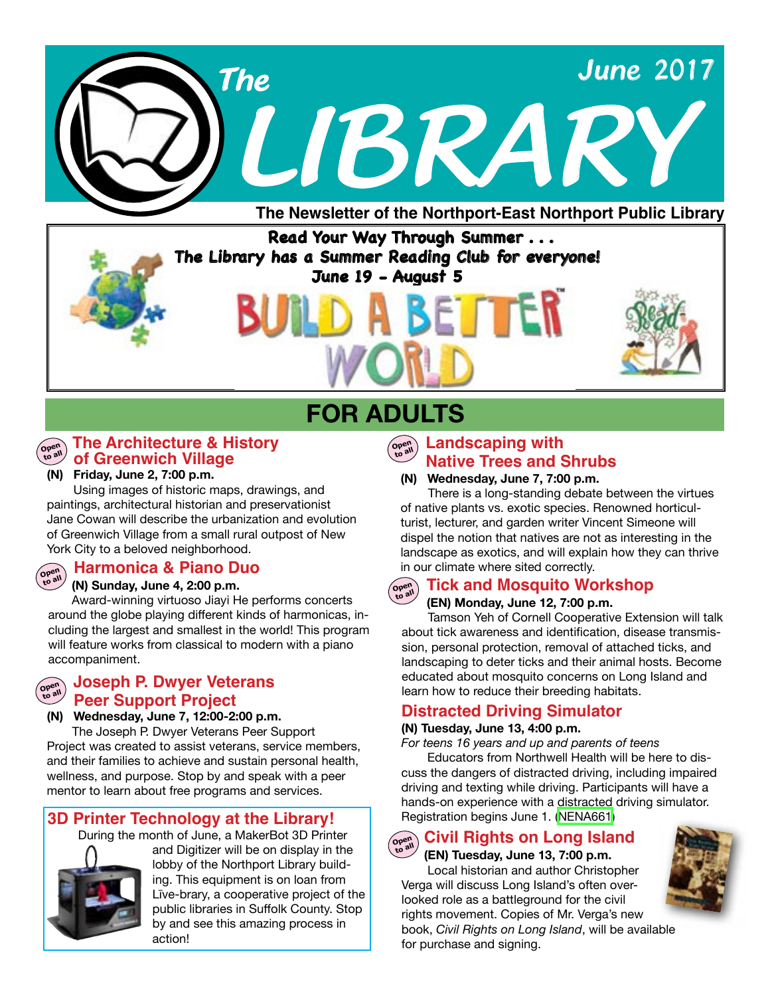

### **Read Your Way Through Summer . . . The Library has a Summer Reading Club for everyone! June 19 - August 5**

## **FOR ADULTS**



**Open to all**

### **The Architecture & History of Greenwich Village**

**(N) Friday, June 2, 7:00 p.m.**

 Using images of historic maps, drawings, and paintings, architectural historian and preservationist Jane Cowan will describe the urbanization and evolution of Greenwich Village from a small rural outpost of New York City to a beloved neighborhood.

### **Harmonica & Piano Duo**

#### **(N) Sunday, June 4, 2:00 p.m.**

Award-winning virtuoso Jiayi He performs concerts around the globe playing different kinds of harmonicas, including the largest and smallest in the world! This program will feature works from classical to modern with a piano accompaniment.

#### **Peer Support Project Open to all Joseph P. Dwyer Veterans**

**(N) Wednesday, June 7, 12:00-2:00 p.m.** 

 The Joseph P. Dwyer Veterans Peer Support Project was created to assist veterans, service members, and their families to achieve and sustain personal health, wellness, and purpose. Stop by and speak with a peer mentor to learn about free programs and services.

### **3D Printer Technology at the Library!**

During the month of June, a MakerBot 3D Printer



and Digitizer will be on display in the lobby of the Northport Library building. This equipment is on loan from Līve-brary, a cooperative project of the public libraries in Suffolk County. Stop by and see this amazing process in action!

### **Copen Landscaping with Native Trees and Shrubs**

#### **(N) Wednesday, June 7, 7:00 p.m.**

There is a long-standing debate between the virtues of native plants vs. exotic species. Renowned horticulturist, lecturer, and garden writer Vincent Simeone will dispel the notion that natives are not as interesting in the landscape as exotics, and will explain how they can thrive in our climate where sited correctly.

#### **(EN) Monday, June 12, 7:00 p.m. Open to all Tick and Mosquito Workshop**

 Tamson Yeh of Cornell Cooperative Extension will talk about tick awareness and identification, disease transmission, personal protection, removal of attached ticks, and landscaping to deter ticks and their animal hosts. Become educated about mosquito concerns on Long Island and learn how to reduce their breeding habitats.

### **Distracted Driving Simulator**

#### **(N) Tuesday, June 13, 4:00 p.m.**

*For teens 16 years and up and parents of teens*

Educators from Northwell Health will be here to discuss the dangers of distracted driving, including impaired driving and texting while driving. Participants will have a hands-on experience with a distracted driving simulator. Registration begins June 1. ([NENA661\)](http://alpha1.suffolk.lib.ny.us/record%3Dg1073409~S43)

### **Civil Rights on Long Island**

**(EN) Tuesday, June 13, 7:00 p.m.** Local historian and author Christopher Verga will discuss Long Island's often overlooked role as a battleground for the civil rights movement. Copies of Mr. Verga's new book, *Civil Rights on Long Island*, will be available for purchase and signing.

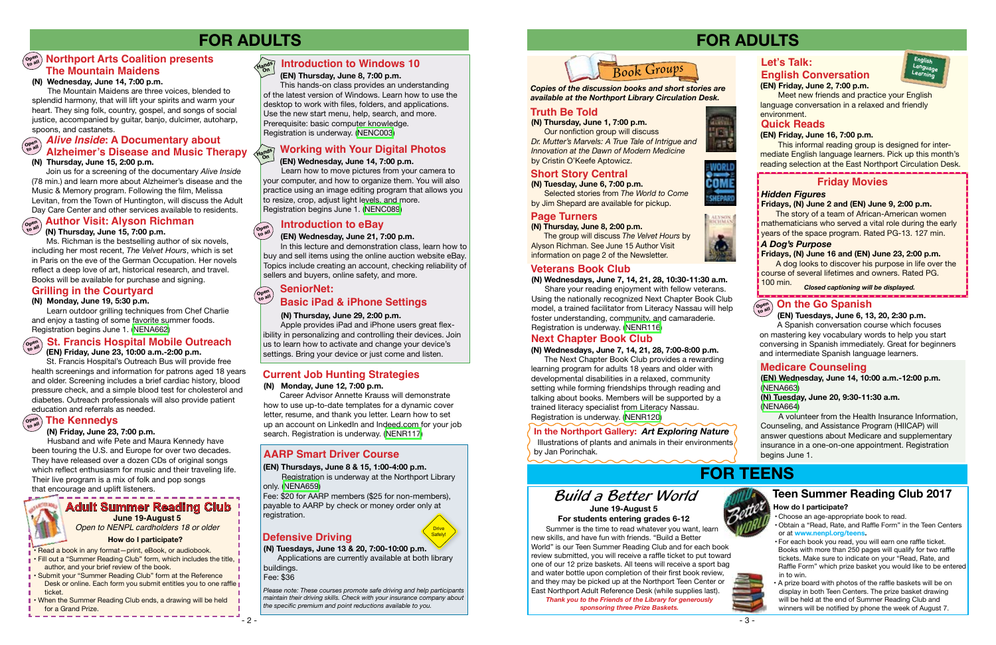## **FOR ADULTS**

### **Defensive Driving**

#### **(EN) Thursdays, June 8 & 15, 1:00-4:00 p.m.** Registration is underway at the Northport Library

only. ([NENA659\)](http://alpha1.suffolk.lib.ny.us/record%3Dg1072431~S43)

Fee: \$20 for AARP members (\$25 for non-members), payable to AARP by check or money order only at registration.

*Please note: These courses promote safe driving and help participants maintain their driving skills. Check with your insurance company about the specific premium and point reductions available to you.*

Drive Safely!

#### **(EN) Thursday, June 8, 7:00 p.m.**

This hands-on class provides an understanding of the latest version of Windows. Learn how to use the desktop to work with files, folders, and applications. Use the new start menu, help, search, and more. Prerequisite: basic computer knowledge. Registration is underway. [\(NENC003\)](http://alpha1.suffolk.lib.ny.us/record%3Dg1061941~S43)

#### **Working with Your Digital Photos** Hands<sup></sup>

#### **(EN) Wednesday, June 14, 7:00 p.m.**

Learn how to move pictures from your camera to your computer, and how to organize them. You will also practice using an image editing program that allows you to resize, crop, adjust light levels, and more. Registration begins June 1. [\(NENC089\)](http://alpha1.suffolk.lib.ny.us/record%3Dg1019710~S43)

In this lecture and demonstration class, learn how to buy and sell items using the online auction website eBay. Topics include creating an account, checking reliability of sellers and buyers, online safety, and more.

 **(EN) Wednesday, June 21, 7:00 p.m. to all**

### **(N) Thursday, June 29, 2:00 p.m.**

 Apple provides iPad and iPhone users great flexibility in personalizing and controlling their devices. Join us to learn how to activate and change your device's settings. Bring your device or just come and listen.

**On**

**Open** 

- Read a book in any format—print, eBook, or audiobook.
- Fill out a "Summer Reading Club" form, which includes the title, author, and your brief review of the book.
- **Submit your "Summer Reading Club" form at the Reference** Desk or online. Each form you submit entitles you to one raffle ticket.
- **I** When the Summer Reading Club ends, a drawing will be held for a Grand Prize.

### **Adult Summer Reading Club**

Ms. Richman is the bestselling author of six novels,

# **(N) Thursday, June 15, 7:00 p.m. Open Author Visit: Alyson Richman to all**

including her most recent, *The Velvet Hours*, which is set in Paris on the eve of the German Occupation. Her novels reflect a deep love of art, historical research, and travel. Books will be available for purchase and signing.

#### **Hands Introduction to Windows 10**

**(EN) Friday, June 23, 10:00 a.m.-2:00 p.m.**

#### **Open to all SeniorNet: Basic iPad & iPhone Settings**

 St. Francis Hospital's Outreach Bus will provide free health screenings and information for patrons aged 18 years and older. Screening includes a brief cardiac history, blood pressure check, and a simple blood test for cholesterol and diabetes. Outreach professionals will also provide patient education and referrals as needed.

## $\left(\begin{smallmatrix} \mathsf{open}\ \mathsf{on} \mathsf{on} \end{smallmatrix}\right)$  The Kennedys



#### **(N) Friday, June 23, 7:00 p.m.**

 Husband and wife Pete and Maura Kennedy have been touring the U.S. and Europe for over two decades. They have released over a dozen CDs of original songs which reflect enthusiasm for music and their traveling life. Their live program is a mix of folk and pop songs that encourage and uplift listeners.

### **Introduction to eBay**

### **AARP Smart Driver Course**

**(N) Tuesdays, June 13 & 20, 7:00-10:00 p.m.** Applications are currently available at both library buildings.

Fee: \$36

## **Current Job Hunting Strategies**

**(N) Monday, June 12, 7:00 p.m.** 

Career Advisor Annette Krauss will demonstrate how to use up-to-date templates for a dynamic cover letter, resume, and thank you letter. Learn how to set up an account on LinkedIn and Indeed.com for your job search. Registration is underway. ([NENR117](http://alpha1.suffolk.lib.ny.us/record%3Dg1067568~S43))

**(N) Monday, June 19, 5:30 p.m.**

 Learn outdoor grilling techniques from Chef Charlie and enjoy a tasting of some favorite summer foods. Registration begins June 1. ([NENA662\)](http://alpha1.suffolk.lib.ny.us/record%3Dg1073415~S43)

### **St. Francis Hospital Mobile Outreach**

### **Grilling in the Courtyard**

#### **(N) Wednesday, June 14, 7:00 p.m.**

 The Mountain Maidens are three voices, blended to splendid harmony, that will lift your spirits and warm your heart. They sing folk, country, gospel, and songs of social justice, accompanied by guitar, banjo, dulcimer, autoharp, spoons, and castanets.

> The story of a team of African-American women mathematicians who served a vital role during the early years of the space program. Rated PG-13. 127 min.

### **Open to all Northport Arts Coalition presents The Mountain Maidens**

 Join us for a screening of the documentary *Alive Inside* (78 min.) and learn more about Alzheimer's disease and the Music & Memory program. Following the film, Melissa Levitan, from the Town of Huntington, will discuss the Adult Day Care Center and other services available to residents.

> Illustrations of plants and animals in their environments by Jan Porinchak.



*Open to NENPL cardholders 18 or older*

#### **How do I participate?**

### **(EN) Friday, June 2, 7:00 p.m.**

 Meet new friends and practice your English language conversation in a relaxed and friendly environment.

#### **(N) Thursday, June 1, 7:00 p.m.**

 Our nonfiction group will discuss *Dr. Mutter's Marvels: A True Tale of Intrigue and Innovation at the Dawn of Modern Medicine* by Cristin O'Keefe Aptowicz.



**(N) Tuesday, June 6, 7:00 p.m.** Selected stories from *The World to Come*  by Jim Shepard are available for pickup.

#### **(N) Thursday, June 8, 2:00 p.m.** The group will discuss *The Velvet Hours* by Alyson Richman. See June 15 Author Visit information on page 2 of the Newsletter.

*Copies of the discussion books and short stories are available at the Northport Library Circulation Desk.* 

## **FOR ADULTS**

### *A Dog's Purpose*

**Fridays, (N) June 16 and (EN) June 23, 2:00 p.m.**  A dog looks to discover his purpose in life over the

course of several lifetimes and owners. Rated PG. 100 min.

## **FOR TEENS**

### **Teen Summer Reading Club 2017**

### **Truth Be Told Truth Be Told**

- Choose an age-appropriate book to read.
- Obtain a "Read, Rate, and Raffle Form" in the Teen Centers or at **www.nenpl.org/teens.**
- For each book you read, you will earn one raffle ticket. Books with more than 250 pages will qualify for two raffle tickets. Make sure to indicate on your "Read, Rate, and Raffle Form" which prize basket you would like to be entered in to win.



 • A prize board with photos of the raffle baskets will be on display in both Teen Centers. The prize basket drawing will be held at the end of Summer Reading Club and winners will be notified by phone the week of August 7.

Summer is the time to read whatever you want, learn new skills, and have fun with friends. "Build a Better World" is our Teen Summer Reading Club and for each book review submitted, you will receive a raffle ticket to put toward one of our 12 prize baskets. All teens will receive a sport bag and water bottle upon completion of their first book review, and they may be picked up at the Northport Teen Center or East Northport Adult Reference Desk (while supplies last).

#### **(N) Thursday, June 15, 2:00 p.m. Alive Inside: A Documentary about to all Alzheimer's Disease and Music Therapy**

*Thank you to the Friends of the Library for generously sponsoring three Prize Baskets.*





*Closed captioning will be displayed.*

## $\left(\begin{smallmatrix} \mathsf{open}\ \mathsf{on}\ \mathsf{then} \end{smallmatrix}\right)$  **On the Go Spanish**

### **Short Story Central**



### **Page Turners**

### **Friday Movies**

### **Let's Talk: English Conversation**

### **Quick Reads**

#### **(EN) Friday, June 16, 7:00 p.m.**

 This informal reading group is designed for intermediate English language learners. Pick up this month's reading selection at the East Northport Circulation Desk.



**(N) Wednesdays, June 7, 14, 21, 28, 10:30-11:30 a.m.** Share your reading enjoyment with fellow veterans. Using the nationally recognized Next Chapter Book Club model, a trained facilitator from Literacy Nassau will help foster understanding, community, and camaraderie. Registration is underway. [\(NENR116](http://alpha1.suffolk.lib.ny.us/record%3Dg1072797~S43))

#### **(EN) Tuesdays, June 6, 13, 20, 2:30 p.m.**

 A Spanish conversation course which focuses on mastering key vocabulary words to help you start conversing in Spanish immediately. Great for beginners and intermediate Spanish language learners.

### **Next Chapter Book Club**

**(N) Wednesdays, June 7, 14, 21, 28, 7:00-8:00 p.m.** The Next Chapter Book Club provides a rewarding learning program for adults 18 years and older with developmental disabilities in a relaxed, community setting while forming friendships through reading and talking about books. Members will be supported by a trained literacy specialist from Literacy Nassau. Registration is underway. ([NENR120](http://alpha1.suffolk.lib.ny.us/record%3Dg1073487~S43))

### *Hidden Figures*

#### **Fridays, (N) June 2 and (EN) June 9, 2:00 p.m.**

**(EN) Wednesday, June 14, 10:00 a.m.-12:00 p.m.** [\(NENA663](http://alpha1.suffolk.lib.ny.us/record%3Dg1073167~S43))

#### **(N) Tuesday, June 20, 9:30-11:30 a.m.**  [\(NENA664](http://alpha1.suffolk.lib.ny.us/record%3Dg1073169~S43))

 A volunteer from the Health Insurance Information, Counseling, and Assistance Program (HIICAP) will answer questions about Medicare and supplementary insurance in a one-on-one appointment. Registration begins June 1.

### **Medicare Counseling**

### **In the Northport Gallery:** *Art Exploring Nature*

### **June 19-August 5 For students entering grades 6-12** *Build a Better World*



#### **How do I participate?**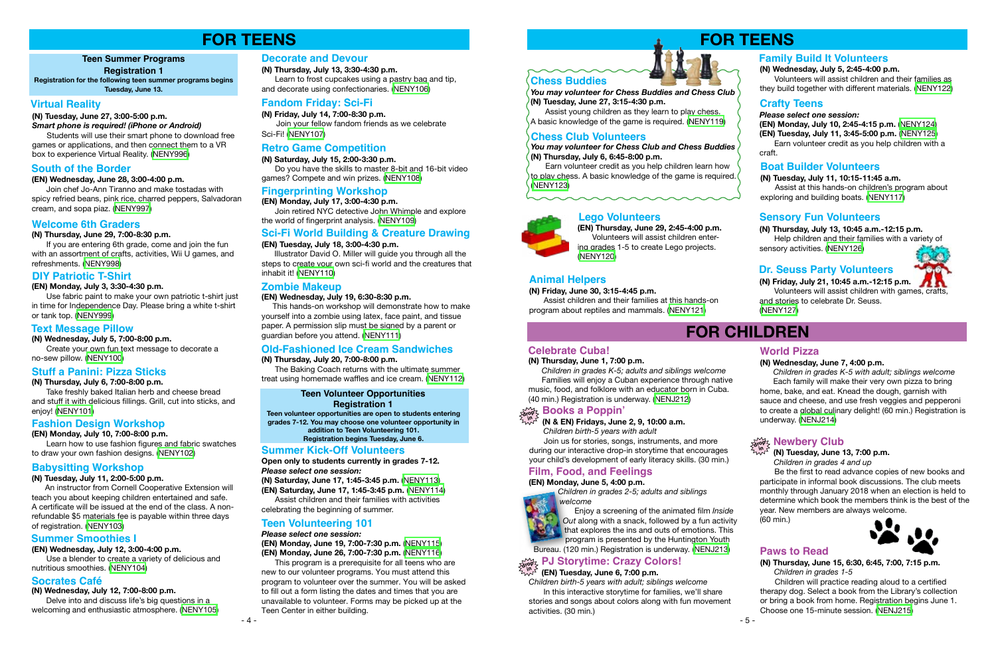#### **(N) Tuesday, June 27, 3:00-5:00 p.m.**

#### *Smart phone is required! (iPhone or Android)*

Students will use their smart phone to download free games or applications, and then connect them to a VR box to experience Virtual Reality. ([NENY996\)](http://alpha1.suffolk.lib.ny.us/record%3Dg1072832~S43)

#### **(EN) Wednesday, June 28, 3:00-4:00 p.m.**

Join chef Jo-Ann Tiranno and make tostadas with spicy refried beans, pink rice, charred peppers, Salvadoran cream, and sopa piaz. [\(NENY997](http://alpha1.suffolk.lib.ny.us/record%3Dg1072833~S43))

**(N) Thursday, June 29, 7:00-8:30 p.m.** 

If you are entering 6th grade, come and join the fun with an assortment of crafts, activities, Wii U games, and refreshments. ([NENY998\)](http://alpha1.suffolk.lib.ny.us/record%3Dg1072834~S43)

#### **(EN) Monday, July 3, 3:30-4:30 p.m.**

Use fabric paint to make your own patriotic t-shirt just in time for Independence Day. Please bring a white t-shirt or tank top. ([NENY999\)](http://alpha1.suffolk.lib.ny.us/record%3Dg1072835~S43)

#### **(N) Wednesday, July 5, 7:00-8:00 p.m.**

Create your own fun text message to decorate a no-sew pillow. [\(NENY100\)](http://alpha1.suffolk.lib.ny.us/record%3Dg1072836~S43)

#### **(N) Thursday, July 6, 7:00-8:00 p.m.**

Take freshly baked Italian herb and cheese bread and stuff it with delicious fillings. Grill, cut into sticks, and enjoy! [\(NENY101](http://alpha1.suffolk.lib.ny.us/record%3Dg1072837~S43))

#### **(EN) Wednesday, July 12, 3:00-4:00 p.m.**

Use a blender to create a variety of delicious and nutritious smoothies. ([NENY104\)](http://alpha1.suffolk.lib.ny.us/record%3Dg1072882~S43)

### **Teen Summer Programs**

#### **Registration 1**

## **FOR TEENS**

#### **(N) Tuesday, July 11, 2:00-5:00 p.m.**

An instructor from Cornell Cooperative Extension will teach you about keeping children entertained and safe. A certificate will be issued at the end of the class. A nonrefundable \$5 materials fee is payable within three days of registration. [\(NENY103](http://alpha1.suffolk.lib.ny.us/record%3Dg1072882~S43))

**(N) Thursday, July 13, 3:30-4:30 p.m.**

 Learn to frost cupcakes using a pastry bag and tip, and decorate using confectionaries. ([NENY106](http://alpha1.suffolk.lib.ny.us/record%3Dg1072885~S43))

**(N) Friday, July 14, 7:00-8:30 p.m.** Join your fellow fandom friends as we celebrate Sci-Fi! ([NENY107\)](http://alpha1.suffolk.lib.ny.us/record%3Dg1072886~S43)

#### **(N) Saturday, July 15, 2:00-3:30 p.m.**

Do you have the skills to master 8-bit and 16-bit video games? Compete and win prizes. [\(NENY108](http://alpha1.suffolk.lib.ny.us/record%3Dg1072887~S43))

#### **(EN) Tuesday, July 18, 3:00-4:30 p.m.**

 Illustrator David O. Miller will guide you through all the steps to create your own sci-fi world and the creatures that inhabit it! ([NENY110\)](http://alpha1.suffolk.lib.ny.us/record%3Dg1072894~S43)

**(EN) Monday, July 17, 3:00-4:30 p.m.** Join retired NYC detective John Whimple and explore the world of fingerprint analysis. [\(NENY109](http://alpha1.suffolk.lib.ny.us/record%3Dg1072889~S43))

**(EN) Monday, July 10, 7:00-8:00 p.m.**

Learn how to use fashion figures and fabric swatches to draw your own fashion designs. ([NENY102\)](http://alpha1.suffolk.lib.ny.us/record%3Dg1072879~S43)

#### **(N) Wednesday, July 12, 7:00-8:00 p.m.**

Delve into and discuss life's big questions in a welcoming and enthusiastic atmosphere. [\(NENY105](http://alpha1.suffolk.lib.ny.us/record%3Dg1072884~S43)) **Teen volunteer opportunities are open to students entering grades 7-12. You may choose one volunteer opportunity in addition to Teen Volunteering 101.**

**Registration begins Tuesday, June 6.** 

**Open only to students currently in grades 7-12.** *Please select one session:*

**(N) Saturday, June 17, 1:45-3:45 p.m.** ([NENY113\)](http://alpha1.suffolk.lib.ny.us/record%3Dg1072554~S43)

**(EN) Saturday, June 17, 1:45-3:45 p.m.** [\(NENY114\)](http://alpha1.suffolk.lib.ny.us/record%3Dg1072556~S43) Assist children and their families with activities

celebrating the beginning of summer.

*Please select one session:*

**(EN) Monday, June 19, 7:00-7:30 p.m.** ([NENY115\)](http://alpha1.suffolk.lib.ny.us/record%3Dg1072558~S43) **(EN) Monday, June 26, 7:00-7:30 p.m.** ([NENY116\)](http://alpha1.suffolk.lib.ny.us/record%3Dg1072560~S43)

 This program is a prerequisite for all teens who are new to our volunteer programs. You must attend this program to volunteer over the summer. You will be asked to fill out a form listing the dates and times that you are unavailable to volunteer. Forms may be picked up at the Teen Center in either building.





### **(EN) Wednesday, July 19, 6:30-8:30 p.m.**

 This hands-on workshop will demonstrate how to make yourself into a zombie using latex, face paint, and tissue paper. A permission slip must be signed by a parent or guardian before you attend. ([NENY111](http://alpha1.suffolk.lib.ny.us/record%3Dg1072895~S43))

**(N) Thursday, July 20, 7:00-8:00 p.m.**

 The Baking Coach returns with the ultimate summer treat using homemade waffles and ice cream. ([NENY112\)](http://alpha1.suffolk.lib.ny.us/record%3Dg1072900~S43)

### **Virtual Reality**

### **South of the Border**

### **Welcome 6th Graders**

### **DIY Patriotic T-Shirt**

### **Text Message Pillow**

### **Stuff a Panini: Pizza Sticks**

### **Fashion Design Workshop**

### **Babysitting Workshop**

### **Socrates Café**

### **Summer Smoothies I**

### **Decorate and Devour**

### **Fandom Friday: Sci-Fi**

### **Retro Game Competition**

### **Fingerprinting Workshop**

### **Sci-Fi World Building & Creature Drawing**

### **Zombie Makeup**

### **Old-Fashioned Ice Cream Sandwiches**

### **Summer Kick-Off Volunteers**

### **Teen Volunteering 101**

#### **Teen Volunteer Opportunities Registration 1**

**Registration for the following teen summer programs begins Tuesday, June 13.**

## **FOR TEENS**



#### **(N) Friday, June 30, 3:15-4:45 p.m.**

Assist children and their families at this hands-on program about reptiles and mammals. [\(NENY121](http://alpha1.suffolk.lib.ny.us/record%3Dg1072679~S43))

**(EN) Thursday, June 29, 2:45-4:00 p.m.** Volunteers will assist children entering grades 1-5 to create Lego projects. [\(NENY120](http://alpha1.suffolk.lib.ny.us/record%3Dg1072678~S43))

*You may volunteer for Chess Club and Chess Buddies* **(N) Thursday, July 6, 6:45-8:00 p.m.**

Earn volunteer credit as you help children learn how to play chess. A basic knowledge of the game is required. ([NENY123\)](http://alpha1.suffolk.lib.ny.us/record%3Dg1072698~S43)

#### *Please select one session:*

**(EN) Monday, July 10, 2:45-4:15 p.m.** [\(NENY124\)](http://alpha1.suffolk.lib.ny.us/record%3Dg1072700~S43) **(EN) Tuesday, July 11, 3:45-5:00 p.m.** [\(NENY125](http://alpha1.suffolk.lib.ny.us/record%3Dg1072707~S43))

Earn volunteer credit as you help children with a craft.

#### **(N) Thursday, July 13, 10:45 a.m.-12:15 p.m.**  Help children and their families with a variety of sensory activities. ([NENY126\)](http://alpha1.suffolk.lib.ny.us/record%3Dg1072718~S43)

**(N) Friday, July 21, 10:45 a.m.-12:15 p.m.** Volunteers will assist children with games, crafts,

and stories to celebrate Dr. Seuss. [\(NENY127\)](http://alpha1.suffolk.lib.ny.us/record%3Dg1072719~S43)

## **FOR CHILDREN**

#### **(EN) Tuesday, June 6, 7:00 p.m.**

*Children birth-5 years with adult; siblings welcome* In this interactive storytime for families, we'll share stories and songs about colors along with fun movement activities. (30 min.)

#### **(N) Thursday, June 15, 6:30, 6:45, 7:00, 7:15 p.m.**  *Children in grades 1-5*

Children will practice reading aloud to a certified therapy dog. Select a book from the Library's collection or bring a book from home. Registration begins June 1. Choose one 15-minute session. [\(NENJ215\)](http://alpha1.suffolk.lib.ny.us/record%3Dg1072785~S43)

#### **(N) Tuesday, June 13, 7:00 p.m.**

 *Children in grades 4 and up* 

Be the first to read advance copies of new books and participate in informal book discussions. The club meets monthly through January 2018 when an election is held to determine which book the members think is the best of the year. New members are always welcome. (60 min.)

*You may volunteer for Chess Buddies and Chess Club* **(N) Tuesday, June 27, 3:15-4:30 p.m.** 

Assist young children as they learn to play chess. A basic knowledge of the game is required. [\(NENY119](http://alpha1.suffolk.lib.ny.us/record%3Dg1072677~S43))

### **Chess Buddies**

### **Lego Volunteers**



### **Animal Helpers**

**(N) Wednesday, July 5, 2:45-4:00 p.m.** 

Volunteers will assist children and their families as they build together with different materials. ([NENY122\)](http://alpha1.suffolk.lib.ny.us/record%3Dg1072680~S43)

### **Family Build It Volunteers**

### **Chess Club Volunteers**

### **Crafty Teens**

### **Sensory Fun Volunteers**

### **Dr. Seuss Party Volunteers**



#### **(N) Thursday, June 1, 7:00 p.m.**

 *Children in grades K-5; adults and siblings welcome* Families will enjoy a Cuban experience through native music, food, and folklore with an educator born in Cuba. (40 min.) Registration is underway. ([NENJ212](http://alpha1.suffolk.lib.ny.us/record%3Dg1070932~S43))

### **Celebrate Cuba!**

#### **(EN) Monday, June 5, 4:00 p.m.**

 *Children in grades 2-5; adults and siblings welcome*



Enjoy a screening of the animated film *Inside Out* along with a snack, followed by a fun activity that explores the ins and outs of emotions. This program is presented by the Huntington Youth Bureau. (120 min.) Registration is underway. [\(NENJ213\)](http://alpha1.suffolk.lib.ny.us/record%3Dg1071651~S43)

### **Film, Food, and Feelings**

#### **(N) Wednesday, June 7, 4:00 p.m.**

## **PJ Storytime: Crazy Colors! drop in**

 *Children in grades K-5 with adult; siblings welcome* Each family will make their very own pizza to bring home, bake, and eat. Knead the dough, garnish with sauce and cheese, and use fresh veggies and pepperoni to create a global culinary delight! (60 min.) Registration is underway. [\(NENJ214\)](http://alpha1.suffolk.lib.ny.us/record%3Dg1070933~S43)

# **drop & Newbery Club**<br> *Edge & (N)* **Tuesday, June 1**

### **World Pizza**

### **Paws to Read**



#### **(N) Tuesday, July 11, 10:15-11:45 a.m.**

Assist at this hands-on children's program about exploring and building boats. ([NENY117\)](http://alpha1.suffolk.lib.ny.us/record%3Dg1073212~S43)

### **Boat Builder Volunteers**

#### **(N & EN) Fridays, June 2, 9, 10:00 a.m.**

 *Children birth-5 years with adult*

Join us for stories, songs, instruments, and more during our interactive drop-in storytime that encourages your child's development of early literacy skills. (30 min.)

## **drop in Books a Poppin'**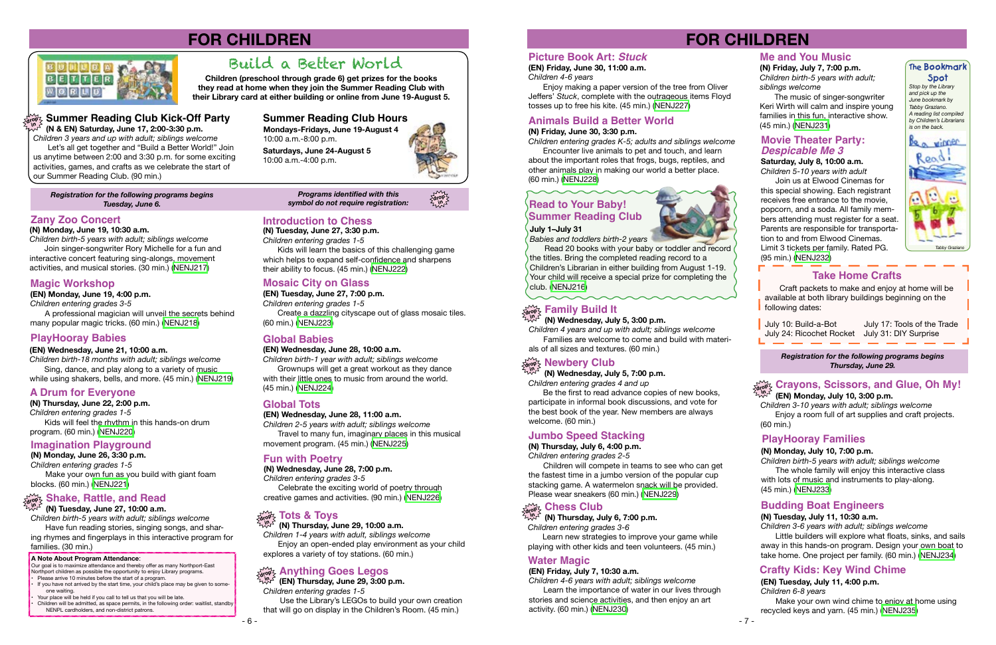

*Registration for the following programs begins Tuesday, June 6.* 

Our goal is to maximize attendance and thereby offer as many Northport-East Northport children as possible the opportunity to enjoy Library programs. Please arrive 10 minutes before the start of a program.

*Programs identified with this symbol do not require registration:*



#### **A Note About Program Attendance**:

- If you have not arrived by the start time, your child's place may be given to someone waiting.
- Your place will be held if you call to tell us that you will be late. • Children will be admitted, as space permits, in the following order: waitlist, standby NENPL cardholders, and non-district patrons.

## **FOR CHILDREN**



### **Zany Zoo Concert**

### **Magic Workshop**

### **PlayHooray Babies**

**(N) Monday, June 19, 10:30 a.m.**

*Children birth-5 years with adult; siblings welcome* Join singer-songwriter Rory Michelle for a fun and interactive concert featuring sing-alongs, movement activities, and musical stories. (30 min.) [\(NENJ217\)](http://alpha1.suffolk.lib.ny.us/record%3Dg1073263~S43)

**(EN) Monday, June 19, 4:00 p.m.**

*Children entering grades 3-5*

A professional magician will unveil the secrets behind many popular magic tricks. (60 min.) [\(NENJ218\)](http://alpha1.suffolk.lib.ny.us/record%3Dg1073280~S43)

#### **(EN) Wednesday, June 21, 10:00 a.m.**

*Children birth-18 months with adult; siblings welcome* Sing, dance, and play along to a variety of music while using shakers, bells, and more. (45 min.) [\(NENJ219\)](http://alpha1.suffolk.lib.ny.us/record%3Dg1073281~S43)

### **A Drum for Everyone**

**(N) Thursday, June 22, 2:00 p.m.** *Children entering grades 1-5* Kids will feel the rhythm in this hands-on drum program. (60 min.) ([NENJ220\)](http://alpha1.suffolk.lib.ny.us/record%3Dg1073267~S43)

### **Imagination Playground**

**(N) Monday, June 26, 3:30 p.m.** *Children entering grades 1-5* Make your own fun as you build with giant foam blocks. (60 min.) ([NENJ221](http://alpha1.suffolk.lib.ny.us/record%3Dg1073271~S43))

## **drop in Shake, Rattle, and Read**

**(N) Tuesday, June 27, 10:00 a.m.**

*Children birth-5 years with adult; siblings welcome* Have fun reading stories, singing songs, and shar-

ing rhymes and fingerplays in this interactive program for families. (30 min.)

**Introduction to Chess**

**(N) Tuesday, June 27, 3:30 p.m.** *Children entering grades 1-5*

Kids will learn the basics of this challenging game which helps to expand self-confidence and sharpens their ability to focus. (45 min.) [\(NENJ222\)](http://alpha1.suffolk.lib.ny.us/record%3Dg1073273~S43)

### **Mosaic City on Glass**

**(EN) Tuesday, June 27, 7:00 p.m.** *Children entering grades 1-5* Create a dazzling cityscape out of glass mosaic tiles. (60 min.) ([NENJ223](http://alpha1.suffolk.lib.ny.us/record%3Dg1073282~S43))

### **Global Babies**

**(EN) Wednesday, June 28, 10:00 a.m.**

*Children birth-1 year with adult; siblings welcome* Grownups will get a great workout as they dance with their little ones to music from around the world. (45 min.) ([NENJ224](http://alpha1.suffolk.lib.ny.us/record%3Dg1073283~S43))

### **Global Tots**

**(EN) Wednesday, June 28, 11:00 a.m.**

*Children 2-5 years with adult; siblings welcome* Travel to many fun, imaginary places in this musical movement program. (45 min.) ([NENJ225](http://alpha1.suffolk.lib.ny.us/record%3Dg1073284~S43))

### **Fun with Poetry**

**(N) Wednesday, June 28, 7:00 p.m.** *Children entering grades 3-5*

Celebrate the exciting world of poetry through creative games and activities. (90 min.) ([NENJ226](http://alpha1.suffolk.lib.ny.us/record%3Dg1073274~S43))

**(N) Thursday, June 29, 10:00 a.m.**

#### **Tots & Toys drop in**

*Children 1-4 years with adult, siblings welcome* Enjoy an open-ended play environment as your child explores a variety of toy stations. (60 min.)

**(EN) Thursday, June 29, 3:00 p.m.**

*Children entering grades 1-5*

#### **Anything Goes Legos drop in**

 Use the Library's LEGOs to build your own creation that will go on display in the Children's Room. (45 min.)

**drop in**

**Summer Reading Club Kick-Off Party**

**(N & EN) Saturday, June 17, 2:00-3:30 p.m.** *Children 3 years and up with adult; siblings welcome*

Let's all get together and "Build a Better World!" Join us anytime between 2:00 and 3:30 p.m. for some exciting activities, games, and crafts as we celebrate the start of

our Summer Reading Club. (90 min.)

**Mondays-Fridays, June 19-August 4**  10:00 a.m.-8:00 p.m.

**Saturdays, June 24-August 5** 10:00 a.m.-4:00 p.m.



### **Summer Reading Club Hours**

**Children (preschool through grade 6) get prizes for the books they read at home when they join the Summer Reading Club with their Library card at either building or online from June 19-August 5.** 

**drop in**

## Build a Better World

- 7 -

July 10: Build-a-Bot July 17: Tools of the Trade July 24: Ricochet Rocket July 31: DIY Surprise

## **FOR CHILDREN**

### **July 1–July 31**

*Babies and toddlers birth-2 years*

Read 20 books with your baby or toddler and record the titles. Bring the completed reading record to a Children's Librarian in either building from August 1-19.

Your child will receive a special prize for completing the club. ([NENJ216](http://alpha1.suffolk.lib.ny.us/record%3Dg1073354~S43))

### **Picture Book Art:** *Stuck*

**(EN) Friday, June 30, 11:00 a.m.** *Children 4-6 years*

Enjoy making a paper version of the tree from Oliver Jeffers' *Stuck*, complete with the outrageous items Floyd tosses up to free his kite. (45 min.) [\(NENJ227](http://alpha1.suffolk.lib.ny.us/record%3Dg1073288~S43))

### **Animals Build a Better World**

#### **(N) Friday, June 30, 3:30 p.m.**

*Children entering grades K-5; adults and siblings welcome*

Encounter live animals to pet and touch, and learn about the important roles that frogs, bugs, reptiles, and other animals play in making our world a better place. (60 min.) [\(NENJ228\)](http://alpha1.suffolk.lib.ny.us/record%3Dg1073276~S43)

### **Take Home Crafts**

*Stop by the Library and pick up the June bookmark by Tabby Graziano. A reading list compiled by Children's Librarians is on the back.*

#### **The Bookmark Spot**



**(N) Wednesday, July 5, 3:00 p.m.**

#### **Family Build It drop in**

*Children 4 years and up with adult; siblings welcome* Families are welcome to come and build with materials of all sizes and textures. (60 min.)

## $\lim_{\delta\to 0}$  **Newbery Club**

**(N) Wednesday, July 5, 7:00 p.m.** *Children entering grades 4 and up*

Be the first to read advance copies of new books, participate in informal book discussions, and vote for the best book of the year. New members are always welcome. (60 min.)

### **Jumbo Speed Stacking**

**(N) Thursday, July 6, 4:00 p.m.**

*Children entering grades 2-5*

Children will compete in teams to see who can get the fastest time in a jumbo version of the popular cup stacking game. A watermelon snack will be provided. Please wear sneakers (60 min.) [\(NENJ229\)](http://alpha1.suffolk.lib.ny.us/record%3Dg1073338~S43)

**(N) Thursday, July 6, 7:00 p.m.**

*Children entering grades 3-6*

#### **Chess Club drop in**

Learn new strategies to improve your game while playing with other kids and teen volunteers. (45 min.)

### **Me and You Music (N) Friday, July 7, 7:00 p.m.**

*Children birth-5 years with adult; siblings welcome*

The music of singer-songwriter Keri Wirth will calm and inspire young families in this fun, interactive show. (45 min.) ([NENJ231](http://alpha1.suffolk.lib.ny.us/record%3Dg1073343~S43))

**Saturday, July 8, 10:00 a.m.**  *Children 5-10 years with adult*

### **Summer Reading Club Read to Your Baby!**

Join us at Elwood Cinemas for this special showing. Each registrant receives free entrance to the movie, popcorn, and a soda. All family members attending must register for a seat. Parents are responsible for transportation to and from Elwood Cinemas. Limit 3 tickets per family. Rated PG. (95 min.) ([NENJ232](http://alpha1.suffolk.lib.ny.us/record%3Dg1070305~S43))

Craft packets to make and enjoy at home will be available at both library buildings beginning on the following dates:



*Children 3-10 years with adult; siblings welcome* Enjoy a room full of art supplies and craft projects. (60 min.)

### **PlayHooray Families**

### *Despicable Me 3* **Movie Theater Party:**

#### **(N) Monday, July 10, 7:00 p.m.**

*Children birth-5 years with adult; siblings welcome* The whole family will enjoy this interactive class with lots of music and instruments to play-along. (45 min.) ([NENJ233](http://alpha1.suffolk.lib.ny.us/record%3Dg1073344~S43))

### **Budding Boat Engineers**

#### **(N) Tuesday, July 11, 10:30 a.m.**

*Children 3-6 years with adult; siblings welcome*

Little builders will explore what floats, sinks, and sails away in this hands-on program. Design your own boat to take home. One project per family. (60 min.) ([NENJ234](http://alpha1.suffolk.lib.ny.us/record%3Dg1073345~S43)) **Water Magic**

#### **(EN) Friday, July 7, 10:30 a.m.**

*Children 4-6 years with adult; siblings welcome* Learn the importance of water in our lives through stories and science activities, and then enjoy an art activity. (60 min.) [\(NENJ230\)](http://alpha1.suffolk.lib.ny.us/record%3Dg1073289~S43)

### **Crafty Kids: Key Wind Chime**

**(EN) Tuesday, July 11, 4:00 p.m.**

*Children 6-8 years*

Make your own wind chime to enjoy at home using recycled keys and yarn. (45 min.) [\(NENJ235\)](http://alpha1.suffolk.lib.ny.us/record%3Dg1073345~S43)

*Registration for the following programs begins Thursday, June 29.*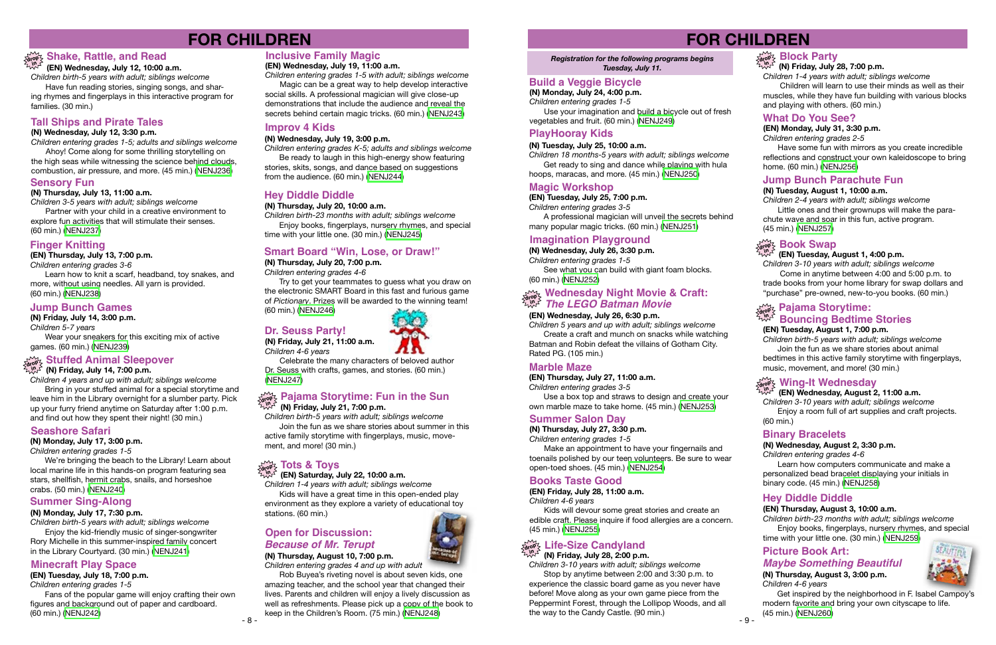- 8 -

## **FOR CHILDREN**

### **(EN) Wednesday, July 12, 10:00 a.m.**

*Children birth-5 years with adult; siblings welcome* Have fun reading stories, singing songs, and shar-

### **Shake, Rattle, and Read drop in**

ing rhymes and fingerplays in this interactive program for families. (30 min.)

### **Tall Ships and Pirate Tales**

#### **(N) Wednesday, July 12, 3:30 p.m.**

*Children entering grades 1-5; adults and siblings welcome*

Ahoy! Come along for some thrilling storytelling on the high seas while witnessing the science behind clouds, combustion, air pressure, and more. (45 min.) ([NENJ236](http://alpha1.suffolk.lib.ny.us/record%3Dg1073346~S43))

### **Sensory Fun**

#### **(N) Thursday, July 13, 11:00 a.m.**

*Children 3-5 years with adult; siblings welcome* Partner with your child in a creative environment to explore fun activities that will stimulate their senses. (60 min.) [\(NENJ237\)](http://alpha1.suffolk.lib.ny.us/record%3Dg1073347~S43)

### **Finger Knitting**

**(EN) Thursday, July 13, 7:00 p.m.**

*Children entering grades 3-6*

Learn how to knit a scarf, headband, toy snakes, and more, without using needles. All yarn is provided. (60 min.) [\(NENJ238\)](http://alpha1.suffolk.lib.ny.us/record%3Dg1073306~S43)

### **Jump Bunch Games**

**(N) Friday, July 14, 3:00 p.m.**

*Children 5-7 years*

Wear your sneakers for this exciting mix of active games. (60 min.) ([NENJ239](http://alpha1.suffolk.lib.ny.us/record%3Dg1073350~S43))

### **Stuffed Animal Sleepover**

<sub>drop</sub> չ StuTied Affilian Sieep<br>ບໍ່ພັ້

*Children 4 years and up with adult; siblings welcome* Bring in your stuffed animal for a special storytime and leave him in the Library overnight for a slumber party. Pick up your furry friend anytime on Saturday after 1:00 p.m. and find out how they spent their night! (30 min.)

#### **Seashore Safari**

**(N) Monday, July 17, 3:00 p.m.** *Children entering grades 1-5*

We're bringing the beach to the Library! Learn about local marine life in this hands-on program featuring sea stars, shellfish, hermit crabs, snails, and horseshoe crabs. (50 min.) ([NENJ240](http://alpha1.suffolk.lib.ny.us/record%3Dg1073352~S43))

### **Summer Sing-Along**

#### **(N) Monday, July 17, 7:30 p.m.**

*Children birth-5 years with adult; siblings welcome* Enjoy the kid-friendly music of singer-songwriter Rory Michelle in this summer-inspired family concert in the Library Courtyard. (30 min.) ([NENJ241](http://alpha1.suffolk.lib.ny.us/record%3Dg1073353~S43))

Rob Buyea's riveting novel is about seven kids, one amazing teacher, and the school year that changed their lives. Parents and children will enjoy a lively discussion as well as refreshments. Please pick up a copy of the book to keep in the Children's Room. (75 min.) ([NENJ248\)](http://alpha1.suffolk.lib.ny.us/record%3Dg1073365~S43) the way to the Candy Castle. (90 min.) - 9 -

### **Inclusive Family Magic**

**(EN) Wednesday, July 19, 11:00 a.m.**

Fans of the popular game will enjoy crafting their own figures and background out of paper and cardboard.<br>(60 min.) (NENJ242)

*Children entering grades 1-5 with adult; siblings welcome* Magic can be a great way to help develop interactive social skills. A professional magician will give close-up demonstrations that include the audience and reveal the secrets behind certain magic tricks. (60 min.) ([NENJ243](http://alpha1.suffolk.lib.ny.us/record%3Dg1073308~S43))

### **Improv 4 Kids**

#### **(N) Wednesday, July 19, 3:00 p.m.**

*Children entering grades K-5; adults and siblings welcome*

Be ready to laugh in this high-energy show featuring stories, skits, songs, and dance based on suggestions from the audience. (60 min.) [\(NENJ244](http://alpha1.suffolk.lib.ny.us/record%3Dg1073358~S43))

### **Hey Diddle Diddle**

#### **(N) Thursday, July 20, 10:00 a.m.**

*Children birth-23 months with adult; siblings welcome* Enjoy books, fingerplays, nursery rhymes, and special time with your little one. (30 min.) ([NENJ245](http://alpha1.suffolk.lib.ny.us/record%3Dg1073359~S43))

### **Smart Board "Win, Lose, or Draw!"**

#### **(N) Thursday, July 20, 7:00 p.m.**

*Children entering grades 4-6*

Try to get your teammates to guess what you draw on the electronic SMART Board in this fast and furious game of *Pictionary*. Prizes will be awarded to the winning team! (60 min.) ([NENJ246](http://alpha1.suffolk.lib.ny.us/record%3Dg1073361~S43))

### **Dr. Seuss Party!**

**(N) Friday, July 21, 11:00 a.m.** *Children 4-6 years*

Celebrate the many characters of beloved author Dr. Seuss with crafts, games, and stories. (60 min.) [\(NENJ247\)](http://alpha1.suffolk.lib.ny.us/record%3Dg1073362~S43)

#### **(N) Friday, July 21, 7:00 p.m.**

#### **Pajama Storytime: Fun in the Sun drop in**

*Children birth-5 years with adult; siblings welcome* Join the fun as we share stories about summer in this active family storytime with fingerplays, music, movement, and more! (30 min.)

#### **Tots & Toys drop**

**(EN) Saturday, July 22, 10:00 a.m. in**

*Children 1-4 years with adult; siblings welcome* Kids will have a great time in this open-ended play environment as they explore a variety of educational toy

stations. (60 min.)

#### *Because of Mr. Terupt* **(N) Thursday, August 10, 7:00 p.m.**

*Children entering grades 4 and up with adult*

### **Open for Discussion:**

### **Minecraft Play Space**

**(EN) Tuesday, July 18, 7:00 p.m.** *Children entering grades 1-5*

## **FOR CHILDREN**

#### *Registration for the following programs begins Tuesday, July 11.*

### **Build a Veggie Bicycle**

**(N) Monday, July 24, 4:00 p.m.**

*Children entering grades 1-5* Use your imagination and build a bicycle out of fresh vegetables and fruit. (60 min.) [\(NENJ249\)](http://alpha1.suffolk.lib.ny.us/record%3Dg1073367~S43)

### **PlayHooray Kids**

#### **(N) Tuesday, July 25, 10:00 a.m.**

*Children 18 months-5 years with adult; siblings welcome* Get ready to sing and dance while playing with hula hoops, maracas, and more. (45 min.) ([NENJ250](http://alpha1.suffolk.lib.ny.us/record%3Dg1073369~S43))

### **Magic Workshop**

#### **(EN) Tuesday, July 25, 7:00 p.m.**

*Children entering grades 3-5*

A professional magician will unveil the secrets behind many popular magic tricks. (60 min.) [\(NENJ251\)](http://alpha1.suffolk.lib.ny.us/record%3Dg1073310~S43)

### **Imagination Playground**

#### **(N) Wednesday, July 26, 3:30 p.m.**

*Children entering grades 1-5*

See what you can build with giant foam blocks. (60 min.) ([NENJ252](http://alpha1.suffolk.lib.ny.us/record%3Dg1073370~S43))

#### **(EN) Wednesday, July 26, 6:30 p.m.**

# **Wednesday Night Movie & Craft: drop in** *The LEGO Batman Movie*

*Children 5 years and up with adult; siblings welcome* Create a craft and munch on snacks while watching Batman and Robin defeat the villains of Gotham City. Rated PG. (105 min.)

### **Marble Maze**

#### **(EN) Thursday, July 27, 11:00 a.m.**

*Children entering grades 3-5*

Use a box top and straws to design and create your own marble maze to take home. (45 min.) [\(NENJ253\)](http://alpha1.suffolk.lib.ny.us/record%3Dg1073312~S43)

### **Summer Salon Day**

**(N) Thursday, July 27, 3:30 p.m.** *Children entering grades 1-5*

Make an appointment to have your fingernails and toenails polished by our teen volunteers. Be sure to wear open-toed shoes. (45 min.) [\(NENJ254\)](http://alpha1.suffolk.lib.ny.us/record%3Dg1073371~S43)

### **Books Taste Good**

### **(EN) Friday, July 28, 11:00 a.m.**

*Children 4-6 years*

Kids will devour some great stories and create an edible craft. Please inquire if food allergies are a concern. (45 min.) [\(NENJ255\)](http://alpha1.suffolk.lib.ny.us/record%3Dg1073313~S43)

**(N) Friday, July 28, 2:00 p.m.**

## **Life-Size Candyland drop in**

*Children 3-10 years with adult; siblings welcome* Stop by anytime between 2:00 and 3:30 p.m. to experience the classic board game as you never have before! Move along as your own game piece from the Peppermint Forest, through the Lollipop Woods, and all the way to the Candy Castle. (90 min.)





#### **(N) Friday, July 28, 7:00 p.m.**

#### **Block Party drop in**

*Children 1-4 years with adult; siblings welcome* Children will learn to use their minds as well as their muscles, while they have fun building with various blocks and playing with others. (60 min.)

### **What Do You See?**

#### **(EN) Monday, July 31, 3:30 p.m.**

*Children entering grades 2-5*

Have some fun with mirrors as you create incredible reflections and construct your own kaleidoscope to bring home. (60 min.) ([NENJ256](http://alpha1.suffolk.lib.ny.us/record%3Dg1073315~S43))

### **Jump Bunch Parachute Fun**

#### **(N) Tuesday, August 1, 10:00 a.m.**

*Children 2-4 years with adult; siblings welcome* Little ones and their grownups will make the parachute wave and soar in this fun, active program. (45 min.) ([NENJ257](http://alpha1.suffolk.lib.ny.us/record%3Dg1073375~S43))

### **Book Swap**

#### **(EN) Tuesday, August 1, 4:00 p.m.**

*Children 3-10 years with adult; siblings welcome* Come in anytime between 4:00 and 5:00 p.m. to trade books from your home library for swap dollars and "purchase" pre-owned, new-to-you books. (60 min.)

# $\frac{100}{1000}$  Pajama Storytime:<br><sup>ಸಭ್</sup> Bouncing Bedtime Stories

**(EN) Tuesday, August 1, 7:00 p.m.** *Children birth-5 years with adult; siblings welcome* Join the fun as we share stories about animal bedtimes in this active family storytime with fingerplays, music, movement, and more! (30 min.)

## $\frac{d\mathbf{x}}{d\mathbf{y}}$  Wing-It Wednesday

#### **(EN) Wednesday, August 2, 11:00 a.m.**

*Children 3-10 years with adult; siblings welcome* Enjoy a room full of art supplies and craft projects. (60 min.)

### **Binary Bracelets**

#### **(N) Wednesday, August 2, 3:30 p.m.**

*Children entering grades 4-6*

Learn how computers communicate and make a personalized bead bracelet displaying your initials in binary code. (45 min.) [\(NENJ258\)](http://alpha1.suffolk.lib.ny.us/record%3Dg1073376~S43)

### **Hey Diddle Diddle**

#### **(EN) Thursday, August 3, 10:00 a.m.**

*Children birth-23 months with adult; siblings welcome* Enjoy books, fingerplays, nursery rhymes, and special time with your little one. (30 min.) [\(NENJ259\)](http://alpha1.suffolk.lib.ny.us/record%3Dg1073322~S43)

## **Picture Book Art:**

**(N) Thursday, August 3, 3:00 p.m.** *Children 4-6 years*



Get inspired by the neighborhood in F. Isabel Campoy's modern favorite and bring your own cityscape to life. (45 min.) ([NENJ260\)](http://alpha1.suffolk.lib.ny.us/record%3Dg1073377~S43)

### *Maybe Something Beautiful*